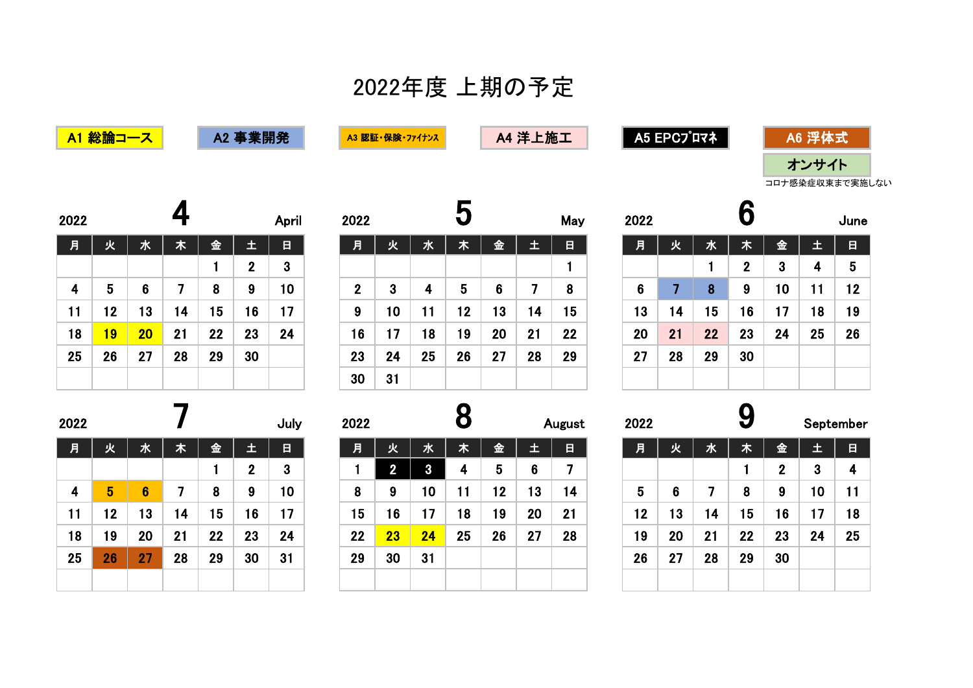## 2022年度 上期の予定

| A1 総論コース |
|----------|
|----------|

A2 事業開発 A3 認証·保険·ファイナンス

A4 洋上施工 A5 EPCプロマネ

| A6 浮体式          |  |
|-----------------|--|
| オンサイト           |  |
| コロナ感染症収束まで実施しない |  |

| 2022 |           |                 | 4  |    |                  | April        |
|------|-----------|-----------------|----|----|------------------|--------------|
| 月    | 火         | 水               | 木  | 金  | 土                | 日            |
|      |           |                 |    | 1  | $\boldsymbol{2}$ | $\mathbf{3}$ |
| 4    | 5         | $6\phantom{1}6$ | 7  | 8  | 9                | 10           |
| 11   | 12        | 13              | 14 | 15 | 16               | 17           |
| 18   | <b>19</b> | 20              | 21 | 22 | 23               | 24           |
| 25   | 26        | 27              | 28 | 29 | 30               |              |
|      |           |                 |    |    |                  |              |

| 2022 |                 |    |    |    |              | April        | 2022         |                 |    |    |                |    | May | 2022            |    |    |             |    |    | June |
|------|-----------------|----|----|----|--------------|--------------|--------------|-----------------|----|----|----------------|----|-----|-----------------|----|----|-------------|----|----|------|
| 月    | 火               | 水  | 木  | 金  | 里            | 目            | 月            | 火               | 水  | 木  | 金              | 土  | 日   | 月               | 火  | 水  | 木           | 金  | 土  | 日    |
|      |                 |    |    |    | $\mathbf{2}$ | $\mathbf{3}$ |              |                 |    |    |                |    |     |                 |    |    | $\mathbf 2$ | 3  | 4  | 5    |
| 4    | 5               | 6  | 7  | 8  | 9            | 10           | $\mathbf{2}$ | 3               | 4  | 5  | $6\phantom{1}$ | 7  | 8   | $6\phantom{1}6$ |    | 8  | 9           | 10 | 11 | 12   |
| 11   | 12 <sub>2</sub> | 13 | 14 | 15 | 16           | 17           | 9            | 10 <sub>1</sub> | 11 | 12 | 13             | 14 | 15  | 13              | 14 | 15 | 16          | 17 | 18 | 19   |
| 18   | <b>19</b>       | 20 | 21 | 22 | 23           | 24           | 16           | 17              | 18 | 19 | 20             | 21 | 22  | 20              | 21 | 22 | 23          | 24 | 25 | 26   |
| 25   | 26              | 27 | 28 | 29 | 30           |              | 23           | 24              | 25 | 26 | 27             | 28 | 29  | 27              | 28 | 29 | 30          |    |    |      |
|      |                 |    |    |    |              |              | 30           | 31              |    |    |                |    |     |                 |    |    |             |    |    |      |

| 2022            |    |    | U                |    |    | June |
|-----------------|----|----|------------------|----|----|------|
| 月               | 火  | 水  | 木                | 金  | 土  | 日    |
|                 |    | 1  | $\boldsymbol{2}$ | 3  | 4  | 5    |
| $6\phantom{1}6$ | 7  | 8  | 9                | 10 | 11 | 12   |
| 13              | 14 | 15 | 16               | 17 | 18 | 19   |
| 20              | 21 | 22 | 23               | 24 | 25 | 26   |
| 27              | 28 | 29 | 30               |    |    |      |
|                 |    |    |                  |    |    |      |

| 2022 |    |                 |    |    |              | July |
|------|----|-----------------|----|----|--------------|------|
| 月    | 火  | 水               | 木  | 金  | 土            | 日    |
|      |    |                 |    | 1  | $\mathbf{2}$ | 3    |
| 4    | 5  | $6\phantom{1}6$ | 7  | 8  | 9            | 10   |
| 11   | 12 | 13              | 14 | 15 | 16           | 17   |
| 18   | 19 | 20              | 21 | 22 | 23           | 24   |
| 25   | 26 | 27              | 28 | 29 | 30           | 31   |
|      |    |                 |    |    |              |      |

| 2022 |    |                |    |    |    | July | 2022 |    |    |    |    |     | August | 2022 |    |    |    |    | September |    |
|------|----|----------------|----|----|----|------|------|----|----|----|----|-----|--------|------|----|----|----|----|-----------|----|
| 月    | 火  | 水              | 木  | 金  | 土  | 日    | 月    | 火  | 水  | 木  | 金  | 52, | 日      | 月    | 火  | 水  | 木  | 金  | 土         | 日  |
|      |    |                |    |    | າ  | 3    |      |    | 3  | 4  | 5  | 6   |        |      |    |    |    | ŋ. | 3         | 4  |
| 4    | 5  | 6 <sup>°</sup> |    | 8  | 9  | 10   | 8    | 9  | 10 | 11 | 12 | 13  | 14     | 5    | 6  |    | 8  | 9  | 10        | 11 |
| 11   | 12 | 13             | 14 | 15 | 16 | 17   | 15   | 16 | 17 | 18 | 19 | 20  | 21     | 12   | 13 | 14 | 15 | 16 | 17        | 18 |
| 18   | 19 | 20             | 21 | 22 | 23 | 24   | 22   | 23 | 24 | 25 | 26 | 27  | 28     | 19   | 20 | 21 | 22 | 23 | 24        | 25 |
| 25   | 26 | 27             | 28 | 29 | 30 | 31   | 29   | 30 | 31 |    |    |     |        | 26   | 27 | 28 | 29 | 30 |           |    |
|      |    |                |    |    |    |      |      |    |    |    |    |     |        |      |    |    |    |    |           |    |

| 2022 |    |    | 9  |                |    | September |
|------|----|----|----|----------------|----|-----------|
| 月    | 火  | 水  | 木  | 金              | 土  | 日         |
|      |    |    | 1  | $\overline{2}$ | 3  | 4         |
| 5    | 6  | 7  | 8  | 9              | 10 | 11        |
| 12   | 13 | 14 | 15 | 16             | 17 | 18        |
| 19   | 20 | 21 | 22 | 23             | 24 | 25        |
| 26   | 27 | 28 | 29 | 30             |    |           |
|      |    |    |    |                |    |           |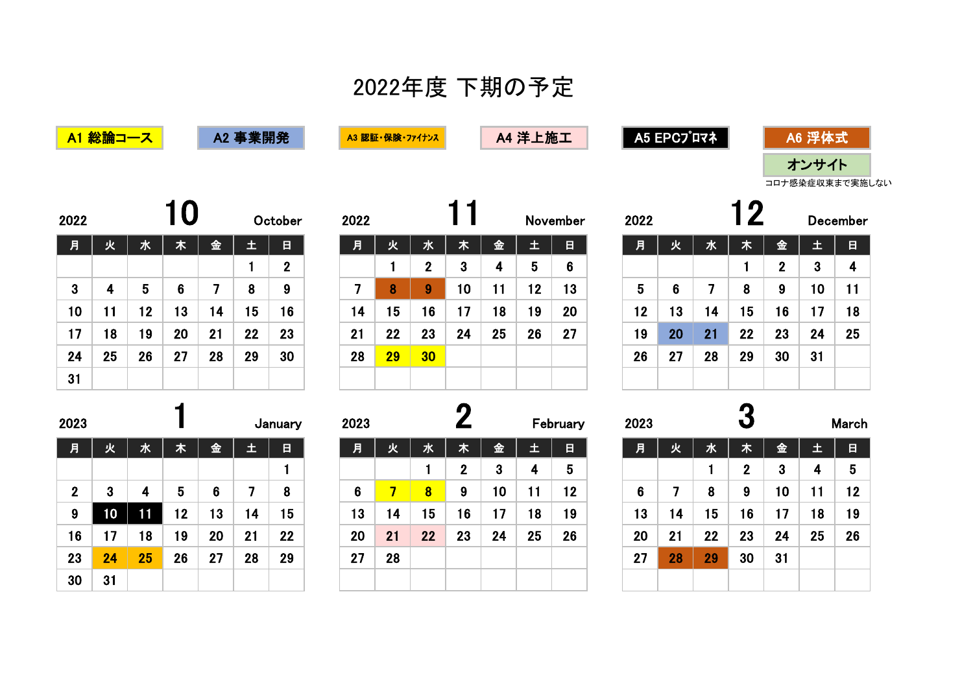## 2022年度 下期の予定

<mark>A1 総論コース ねる 事業開発 インタンス A3 認証・保険・ファイナンス インタンスタンスタンスト あエイ A5 EPCプロマネ</mark>

| A6 浮 <i>位</i> |  |
|---------------|--|
| オンサイト         |  |

コロナ感染症収束まで実施しない

| 2022         |    |    |                |    |    | October          | 2022 |           |                  |    |                         |    | November        |
|--------------|----|----|----------------|----|----|------------------|------|-----------|------------------|----|-------------------------|----|-----------------|
| 月            | 火  | 水  | 木              | 金  | 王  | 日                | 月    | 火         | 水                | 木  | 金                       | 土  | $\blacksquare$  |
|              |    |    |                |    |    | $\boldsymbol{2}$ |      |           | $\boldsymbol{2}$ | 3  | $\overline{\mathbf{4}}$ | 5  | $6\phantom{1}6$ |
| $\mathbf{3}$ | 4  | 5  | $6\phantom{1}$ | 7  | 8  | 9                | 7    | 8         | 9                | 10 | 11                      | 12 | 13              |
| 10           | 11 | 12 | 13             | 14 | 15 | 16               | 14   | 15        | 16               | 17 | 18                      | 19 | 20              |
| 17           | 18 | 19 | 20             | 21 | 22 | 23               | 21   | 22        | 23               | 24 | 25                      | 26 | 27              |
| 24           | 25 | 26 | 27             | 28 | 29 | 30               | 28   | <b>29</b> | 30               |    |                         |    |                 |
| 31           |    |    |                |    |    |                  |      |           |                  |    |                         |    |                 |

| 2023             |    |    |    | January |    |    |  |  |
|------------------|----|----|----|---------|----|----|--|--|
| 月                | 火  | 水  | 木  | 金       | 土  | 日  |  |  |
|                  |    |    |    |         |    | 1  |  |  |
| $\boldsymbol{2}$ | 3  | 4  | 5  | 6       | 7  | 8  |  |  |
| 9                | 10 | 11 | 12 | 13      | 14 | 15 |  |  |
| 16               | 17 | 18 | 19 | 20      | 21 | 22 |  |  |
| 23               | 24 | 25 | 26 | 27      | 28 | 29 |  |  |
| 30               | 31 |    |    |         |    |    |  |  |

| 022          |    |    |    |    |    | October        | 2022 |    |                 |    |    |    | November | 2022 |    |    |    |    | Decembe |                |
|--------------|----|----|----|----|----|----------------|------|----|-----------------|----|----|----|----------|------|----|----|----|----|---------|----------------|
| 月            | 火  | 水  | 木  | 金  | 土  | 日              | 月    | 火  | 水               | 木  | 金  | 土  | 日        | 月    | 火  | 水  | 木  | 金  |         | $\blacksquare$ |
|              |    |    |    |    |    | $\overline{2}$ |      |    | ŋ.              | 3  | 4  | 5  | 6        |      |    |    |    | ŋ  | -O      | 4              |
| $\mathbf{3}$ | 4  | 5  | 6  |    | 8  | 9              |      | 8  | 9               | 10 | 11 | 12 | 13       | 5    | 6  |    | 8  | 9  | 10      | 11             |
| 10           | 11 | 12 | 13 | 4  | 15 | 16             | 14   | 15 | 16              | 17 | 18 | 19 | 20       | 12   | 13 | 14 | 15 | 16 | 7       | 18             |
| 17           | 18 | 19 | 20 | 21 | 22 | 23             | 21   | 22 | 23              | 24 | 25 | 26 | 27       | 19   | 20 | 21 | 22 | 23 | 24      | 25             |
| 24           | 25 | 26 | 27 | 28 | 29 | 30             | 28   | 29 | 30 <sub>o</sub> |    |    |    |          | 26   | 27 | 28 | 29 | 30 | 31      |                |
| 31           |    |    |    |    |    |                |      |    |                 |    |    |    |          |      |    |    |    |    |         |                |

| 2023         |                 |    |    |    |    | January | 2023 |    |                         |             |    |     | February        | 2023 |    |    |             |    |    | March |
|--------------|-----------------|----|----|----|----|---------|------|----|-------------------------|-------------|----|-----|-----------------|------|----|----|-------------|----|----|-------|
| 月            | 火               | 水  | 木  | 金  | 土  | 目       | 月    | 火  | 水                       | 木           | 金  | 52, | 日               | 月    | 火  | 水  | 木           | 金  | 土  | 日     |
|              |                 |    |    |    |    |         |      |    |                         | $\mathbf 2$ | 3  | 4   | $5\phantom{.0}$ |      |    |    | $\mathbf 2$ | 3  | 4  | 5     |
| $\mathbf{2}$ | 3               | 4  | 5  | 6  |    | 8       | 6    |    | $\overline{\mathbf{8}}$ | 9           | 10 | 11  | 12              | 6    |    | 8  | 9           | 10 | 11 | 12    |
| 9            | 10 <sup>1</sup> |    | 12 | 13 | 14 | 15      | 13   | 14 | 15                      | 16          | 17 | 18  | 19              | 13   | 14 | 15 | 16          | 17 | 18 | 19    |
| 16           | 17              | 18 | 19 | 20 | 21 | 22      | 20   | 21 | 22                      | 23          | 24 | 25  | 26              | 20   | 21 | 22 | 23          | 24 | 25 | 26    |
| 23           | 24              | 25 | 26 | 27 | 28 | 29      | 27   | 28 |                         |             |    |     |                 | 27   | 28 | 29 | 30          | 31 |    |       |
| 30           | 31              |    |    |    |    |         |      |    |                         |             |    |     |                 |      |    |    |             |    |    |       |

| 2022 |    |    | $\mathbf 2$ |                  |              | <b>December</b> |
|------|----|----|-------------|------------------|--------------|-----------------|
| 月    | 火  | 水  | 木           | 金                | 土            | 日               |
|      |    |    | 1           | $\boldsymbol{2}$ | $\mathbf{3}$ | 4               |
| 5    | 6  | 7  | 8           | 9                | 10           | 11              |
| 12   | 13 | 14 | 15          | 16               | 17           | 18              |
| 19   | 20 | 21 | 22          | 23               | 24           | 25              |
| 26   | 27 | 28 | 29          | 30               | 31           |                 |
|      |    |    |             |                  |              |                 |

| 2023 |    |    | J            |    |    | March |
|------|----|----|--------------|----|----|-------|
| 月    | 火  | 水  | 木            | 金  | 土  | 日     |
|      |    | 1  | $\mathbf{2}$ | 3  | 4  | 5     |
| 6    | 7  | 8  | 9            | 10 | 11 | 12    |
| 13   | 14 | 15 | 16           | 17 | 18 | 19    |
| 20   | 21 | 22 | 23           | 24 | 25 | 26    |
| 27   | 28 | 29 | 30           | 31 |    |       |
|      |    |    |              |    |    |       |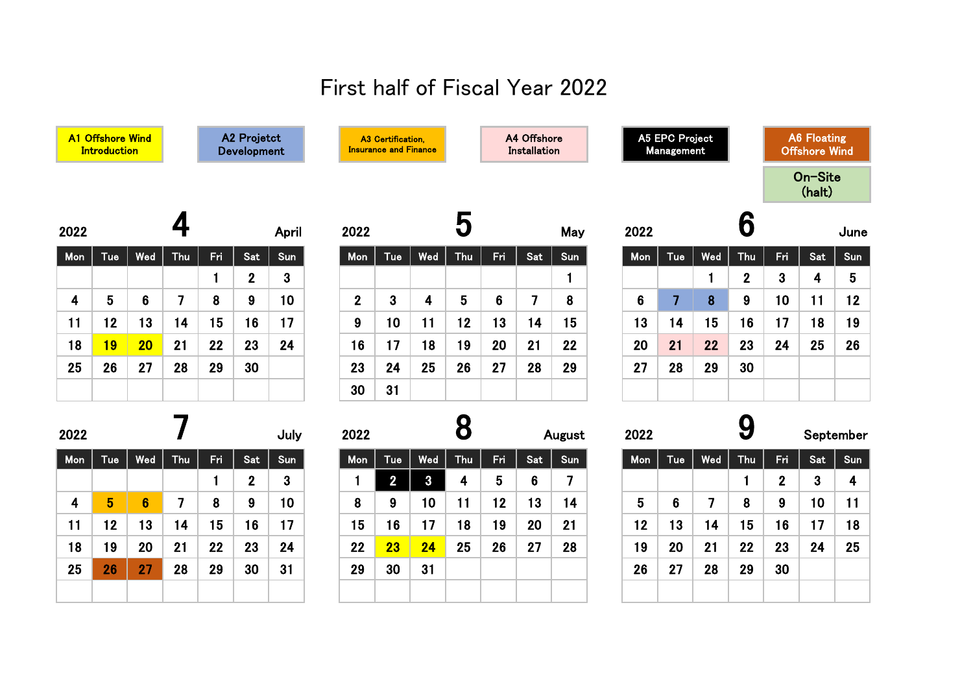## First half of Fiscal Year 2022

|                         | A1 Offshore Wind<br><b>Introduction</b> |                 |                |     | A2 Projetct<br>Development |                 |                  | A3 Certification,<br><b>Insurance and Finance</b> |              |                 |                | A4 Offshore<br><b>Installation</b> |                |                | A5 EPC Project<br>Management |                |             |                | <b>A6 Floating</b><br><b>Offshore Wind</b> |                         |
|-------------------------|-----------------------------------------|-----------------|----------------|-----|----------------------------|-----------------|------------------|---------------------------------------------------|--------------|-----------------|----------------|------------------------------------|----------------|----------------|------------------------------|----------------|-------------|----------------|--------------------------------------------|-------------------------|
|                         |                                         |                 |                |     |                            |                 |                  |                                                   |              |                 |                |                                    |                |                |                              |                |             |                | On-Site<br>(halt)                          |                         |
| 2022                    |                                         |                 | 4              |     |                            | April           | 2022             |                                                   |              | 5               |                |                                    | May            | 2022           |                              |                | 6           |                |                                            | June                    |
| Mon                     | Tue                                     | Wed             | <b>Thu</b>     | Fri | Sat                        | Sun             | Mon              | Tue                                               | Wed          | <b>Thu</b>      | Fri            | Sat                                | Sun            | Mon            | Tue                          | Wed            | Thu         | Fri            | Sat                                        | Sun                     |
|                         |                                         |                 |                | 1   | $\mathbf{2}$               | $3\phantom{a}$  |                  |                                                   |              |                 |                |                                    | 1              |                |                              | $\mathbf{1}$   | $\mathbf 2$ | $\mathbf{3}$   | 4                                          | $5\phantom{.0}$         |
| 4                       | 5                                       | $6\phantom{1}$  | $\overline{7}$ | 8   | 9                          | 10 <sup>°</sup> | $\boldsymbol{2}$ | $\mathbf{3}$                                      | 4            | $5\phantom{.0}$ | $6\phantom{1}$ | $\overline{7}$                     | 8              | $6\phantom{1}$ | $\overline{7}$               | 8              | 9           | 10             | 11                                         | 12 <sub>2</sub>         |
| 11                      | 12                                      | 13              | 14             | 15  | 16                         | 17              | 9                | 10 <sup>°</sup>                                   | 11           | 12              | 13             | 14                                 | 15             | 13             | 14                           | 15             | 16          | 17             | 18                                         | 19                      |
| 18                      | 19                                      | 20 <sub>2</sub> | 21             | 22  | 23                         | 24              | 16               | 17                                                | 18           | 19              | 20             | 21                                 | 22             | 20             | 21                           | 22             | 23          | 24             | 25                                         | 26                      |
| 25                      | 26                                      | 27              | 28             | 29  | 30                         |                 | 23               | 24                                                | 25           | 26              | 27             | 28                                 | 29             | 27             | 28                           | 29             | 30          |                |                                            |                         |
|                         |                                         |                 |                |     |                            |                 | 30               | 31                                                |              |                 |                |                                    |                |                |                              |                |             |                |                                            |                         |
| 2022                    |                                         |                 |                |     |                            | July            | 2022             |                                                   |              | 8               |                |                                    | August         | 2022           |                              |                | 9           |                |                                            | September               |
| Mon                     | Tue                                     | Wed             | <b>Thu</b>     | Fri | Sat                        | Sun             | <b>Mon</b>       | Tue                                               | Wed          | Thu             | Fri            | Sat                                | Sun            | Mon            | Tue                          | Wed            | <b>Thu</b>  | Fri            | Sat                                        | Sun                     |
|                         |                                         |                 |                | 1   | $\mathbf{2}$               | 3 <sup>°</sup>  | 1                | $\overline{2}$                                    | $\mathbf{3}$ | 4               | 5              | $6\phantom{a}$                     | $\overline{7}$ |                |                              |                | 1           | 2 <sup>1</sup> | 3                                          | $\overline{\mathbf{4}}$ |
| $\overline{\mathbf{4}}$ | $5\phantom{.0}$                         | $6\phantom{1}$  | $\overline{7}$ | 8   | 9                          | 10 <sup>°</sup> | 8                | 9                                                 | 10           | 11              | 12             | 13                                 | 14             | $5\phantom{1}$ | $6\phantom{1}$               | $\overline{7}$ | 8           | 9              | 10                                         | 11                      |
| 11                      | 12                                      | 13              | 14             | 15  | 16                         | 17              | 15               | 16                                                | 17           | 18              | 19             | 20                                 | 21             | 12             | 13                           | 14             | 15          | 16             | 17                                         | 18                      |
| 18                      | 19                                      | 20              | 21             | 22  | 23                         | 24              | 22               | 23                                                | 24           | 25              | 26             | 27                                 | 28             | 19             | 20                           | 21             | 22          | 23             | 24                                         | 25                      |
| 25                      | 26                                      | 27              | 28             | 29  | 30                         | 31              | 29               | 30                                                | 31           |                 |                |                                    |                | 26             | 27                           | 28             | 29          | 30             |                                            |                         |
|                         |                                         |                 |                |     |                            |                 |                  |                                                   |              |                 |                |                                    |                |                |                              |                |             |                |                                            |                         |